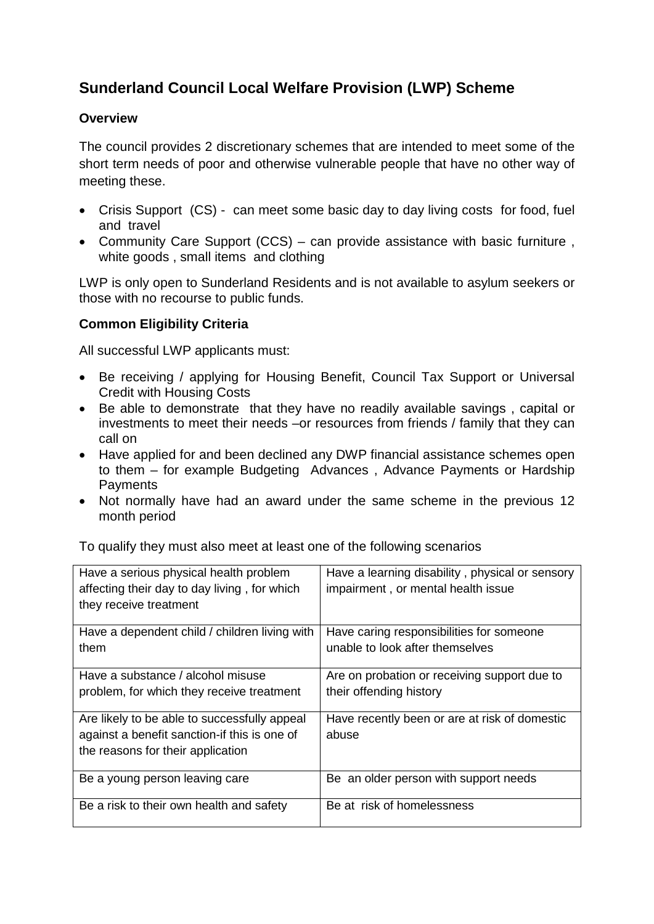# **Sunderland Council Local Welfare Provision (LWP) Scheme**

# **Overview**

The council provides 2 discretionary schemes that are intended to meet some of the short term needs of poor and otherwise vulnerable people that have no other way of meeting these.

- Crisis Support (CS) can meet some basic day to day living costs for food, fuel and travel
- Community Care Support (CCS) can provide assistance with basic furniture , white goods , small items and clothing

LWP is only open to Sunderland Residents and is not available to asylum seekers or those with no recourse to public funds.

# **Common Eligibility Criteria**

All successful LWP applicants must:

- Be receiving / applying for Housing Benefit, Council Tax Support or Universal Credit with Housing Costs
- Be able to demonstrate that they have no readily available savings , capital or investments to meet their needs –or resources from friends / family that they can call on
- Have applied for and been declined any DWP financial assistance schemes open to them – for example Budgeting Advances , Advance Payments or Hardship **Payments**
- Not normally have had an award under the same scheme in the previous 12 month period

To qualify they must also meet at least one of the following scenarios

| Have a serious physical health problem<br>affecting their day to day living, for which<br>they receive treatment                  | Have a learning disability, physical or sensory<br>impairment, or mental health issue |
|-----------------------------------------------------------------------------------------------------------------------------------|---------------------------------------------------------------------------------------|
| Have a dependent child / children living with<br>them                                                                             | Have caring responsibilities for someone<br>unable to look after themselves           |
| Have a substance / alcohol misuse<br>problem, for which they receive treatment                                                    | Are on probation or receiving support due to<br>their offending history               |
| Are likely to be able to successfully appeal<br>against a benefit sanction-if this is one of<br>the reasons for their application | Have recently been or are at risk of domestic<br>abuse                                |
| Be a young person leaving care                                                                                                    | Be an older person with support needs                                                 |
| Be a risk to their own health and safety                                                                                          | Be at risk of homelessness                                                            |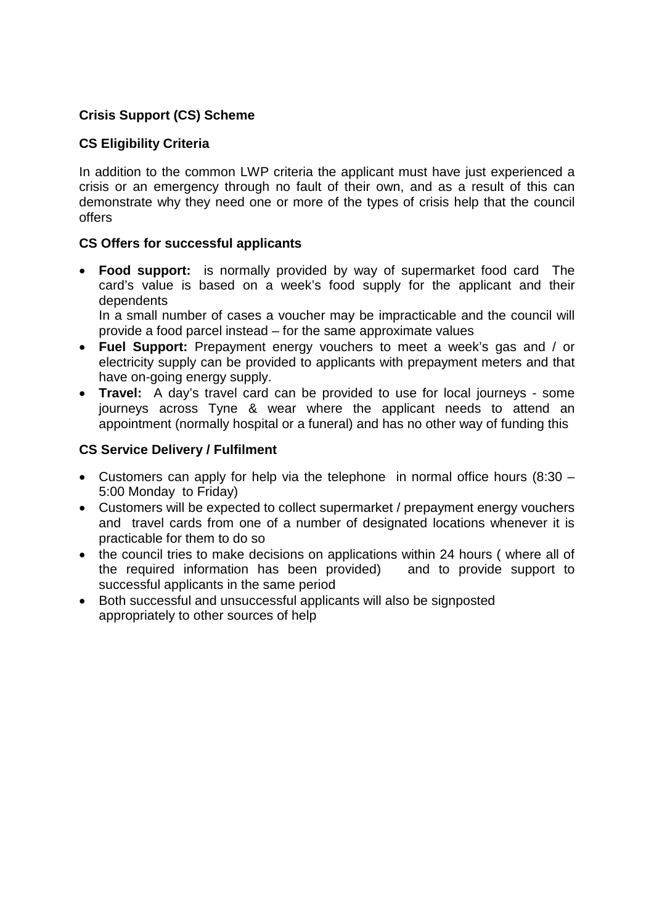# **Crisis Support (CS) Scheme**

#### **CS Eligibility Criteria**

In addition to the common LWP criteria the applicant must have just experienced a crisis or an emergency through no fault of their own, and as a result of this can demonstrate why they need one or more of the types of crisis help that the council offers

#### **CS Offers for successful applicants**

• **Food support:** is normally provided by way of supermarket food card The card's value is based on a week's food supply for the applicant and their dependents

In a small number of cases a voucher may be impracticable and the council will provide a food parcel instead – for the same approximate values

- **Fuel Support:** Prepayment energy vouchers to meet a week's gas and / or electricity supply can be provided to applicants with prepayment meters and that have on-going energy supply.
- **Travel:** A day's travel card can be provided to use for local journeys some journeys across Tyne & wear where the applicant needs to attend an appointment (normally hospital or a funeral) and has no other way of funding this

#### **CS Service Delivery / Fulfilment**

- Customers can apply for help via the telephone in normal office hours (8:30 5:00 Monday to Friday)
- Customers will be expected to collect supermarket / prepayment energy vouchers and travel cards from one of a number of designated locations whenever it is practicable for them to do so
- the council tries to make decisions on applications within 24 hours (where all of the required information has been provided) and to provide support to successful applicants in the same period
- Both successful and unsuccessful applicants will also be signposted appropriately to other sources of help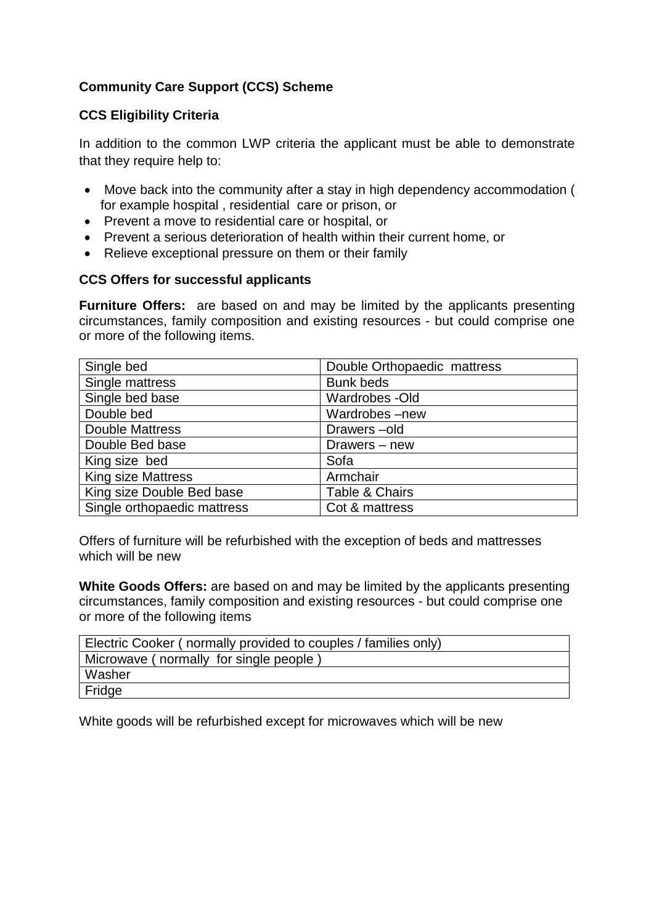# **Community Care Support (CCS) Scheme**

# **CCS Eligibility Criteria**

In addition to the common LWP criteria the applicant must be able to demonstrate that they require help to:

- Move back into the community after a stay in high dependency accommodation ( for example hospital , residential care or prison, or
- Prevent a move to residential care or hospital, or
- Prevent a serious deterioration of health within their current home, or
- Relieve exceptional pressure on them or their family

#### **CCS Offers for successful applicants**

**Furniture Offers:** are based on and may be limited by the applicants presenting circumstances, family composition and existing resources - but could comprise one or more of the following items.

| Single bed                  | Double Orthopaedic mattress |
|-----------------------------|-----------------------------|
| Single mattress             | <b>Bunk beds</b>            |
| Single bed base             | Wardrobes - Old             |
| Double bed                  | Wardrobes-new               |
| <b>Double Mattress</b>      | Drawers-old                 |
| Double Bed base             | Drawers - new               |
| King size bed               | Sofa                        |
| <b>King size Mattress</b>   | Armchair                    |
| King size Double Bed base   | Table & Chairs              |
| Single orthopaedic mattress | Cot & mattress              |

Offers of furniture will be refurbished with the exception of beds and mattresses which will be new

**White Goods Offers:** are based on and may be limited by the applicants presenting circumstances, family composition and existing resources - but could comprise one or more of the following items

| Electric Cooker (normally provided to couples / families only) |  |  |
|----------------------------------------------------------------|--|--|
| Microwave (normally for single people)                         |  |  |
| Washer                                                         |  |  |
| Fridge                                                         |  |  |

White goods will be refurbished except for microwaves which will be new